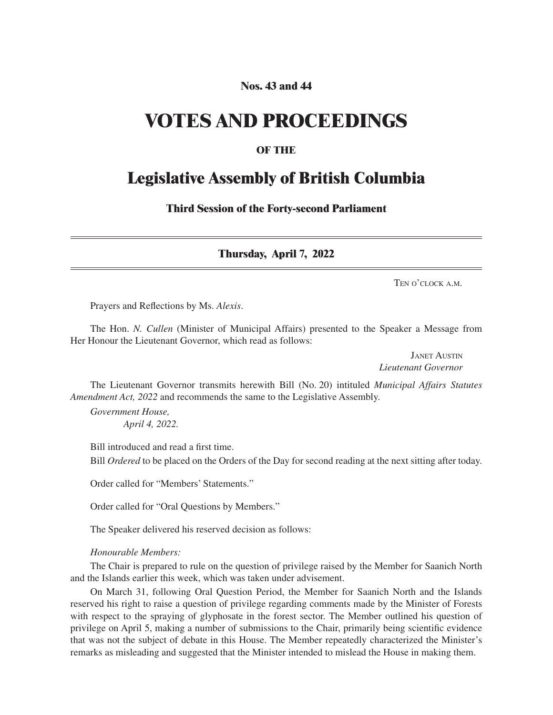# **Nos. 43 and 44**

# **VOTES AND PROCEEDINGS**

## **OF THE**

# **Legislative Assembly of British Columbia**

**Third Session of the Forty-second Parliament**

**Thursday, April 7, 2022**

Ten o'clock a.m.

Prayers and Reflections by Ms. *Alexis*.

The Hon. *N. Cullen* (Minister of Municipal Affairs) presented to the Speaker a Message from Her Honour the Lieutenant Governor, which read as follows:

> Janet Austin *Lieutenant Governor*

The Lieutenant Governor transmits herewith Bill (No. 20) intituled *Municipal Affairs Statutes Amendment Act, 2022* and recommends the same to the Legislative Assembly.

*Government House, April 4, 2022.*

Bill introduced and read a first time. Bill *Ordered* to be placed on the Orders of the Day for second reading at the next sitting after today.

Order called for "Members' Statements."

Order called for "Oral Questions by Members."

The Speaker delivered his reserved decision as follows:

#### *Honourable Members:*

The Chair is prepared to rule on the question of privilege raised by the Member for Saanich North and the Islands earlier this week, which was taken under advisement.

On March 31, following Oral Question Period, the Member for Saanich North and the Islands reserved his right to raise a question of privilege regarding comments made by the Minister of Forests with respect to the spraying of glyphosate in the forest sector. The Member outlined his question of privilege on April 5, making a number of submissions to the Chair, primarily being scientific evidence that was not the subject of debate in this House. The Member repeatedly characterized the Minister's remarks as misleading and suggested that the Minister intended to mislead the House in making them.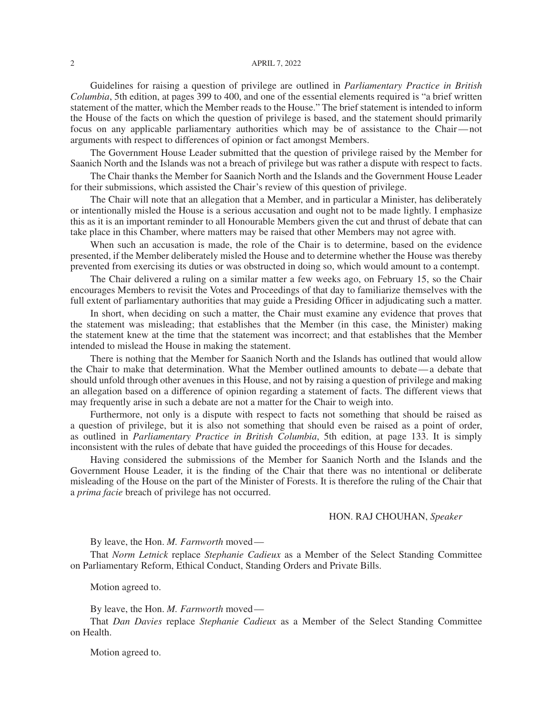#### 2 April 7, 2022

Guidelines for raising a question of privilege are outlined in *Parliamentary Practice in British Columbia*, 5th edition, at pages 399 to 400, and one of the essential elements required is "a brief written statement of the matter, which the Member reads to the House." The brief statement is intended to inform the House of the facts on which the question of privilege is based, and the statement should primarily focus on any applicable parliamentary authorities which may be of assistance to the Chair—not arguments with respect to differences of opinion or fact amongst Members.

The Government House Leader submitted that the question of privilege raised by the Member for Saanich North and the Islands was not a breach of privilege but was rather a dispute with respect to facts.

The Chair thanks the Member for Saanich North and the Islands and the Government House Leader for their submissions, which assisted the Chair's review of this question of privilege.

The Chair will note that an allegation that a Member, and in particular a Minister, has deliberately or intentionally misled the House is a serious accusation and ought not to be made lightly. I emphasize this as it is an important reminder to all Honourable Members given the cut and thrust of debate that can take place in this Chamber, where matters may be raised that other Members may not agree with.

When such an accusation is made, the role of the Chair is to determine, based on the evidence presented, if the Member deliberately misled the House and to determine whether the House was thereby prevented from exercising its duties or was obstructed in doing so, which would amount to a contempt.

The Chair delivered a ruling on a similar matter a few weeks ago, on February 15, so the Chair encourages Members to revisit the Votes and Proceedings of that day to familiarize themselves with the full extent of parliamentary authorities that may guide a Presiding Officer in adjudicating such a matter.

In short, when deciding on such a matter, the Chair must examine any evidence that proves that the statement was misleading; that establishes that the Member (in this case, the Minister) making the statement knew at the time that the statement was incorrect; and that establishes that the Member intended to mislead the House in making the statement.

There is nothing that the Member for Saanich North and the Islands has outlined that would allow the Chair to make that determination. What the Member outlined amounts to debate—a debate that should unfold through other avenues in this House, and not by raising a question of privilege and making an allegation based on a difference of opinion regarding a statement of facts. The different views that may frequently arise in such a debate are not a matter for the Chair to weigh into.

Furthermore, not only is a dispute with respect to facts not something that should be raised as a question of privilege, but it is also not something that should even be raised as a point of order, as outlined in *Parliamentary Practice in British Columbia*, 5th edition, at page 133. It is simply inconsistent with the rules of debate that have guided the proceedings of this House for decades.

Having considered the submissions of the Member for Saanich North and the Islands and the Government House Leader, it is the finding of the Chair that there was no intentional or deliberate misleading of the House on the part of the Minister of Forests. It is therefore the ruling of the Chair that a *prima facie* breach of privilege has not occurred.

#### HON. RAJ CHOUHAN, *Speaker*

By leave, the Hon. *M. Farnworth* moved—

That *Norm Letnick* replace *Stephanie Cadieux* as a Member of the Select Standing Committee on Parliamentary Reform, Ethical Conduct, Standing Orders and Private Bills.

Motion agreed to.

By leave, the Hon. *M. Farnworth* moved—

That *Dan Davies* replace *Stephanie Cadieux* as a Member of the Select Standing Committee on Health.

Motion agreed to.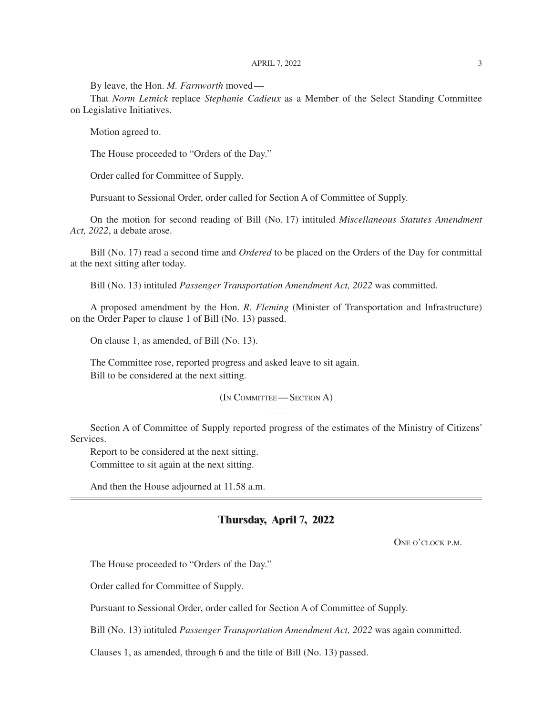By leave, the Hon. *M. Farnworth* moved—

That *Norm Letnick* replace *Stephanie Cadieux* as a Member of the Select Standing Committee on Legislative Initiatives.

Motion agreed to.

The House proceeded to "Orders of the Day."

Order called for Committee of Supply.

Pursuant to Sessional Order, order called for Section A of Committee of Supply.

On the motion for second reading of Bill (No. 17) intituled *Miscellaneous Statutes Amendment Act, 2022*, a debate arose.

Bill (No. 17) read a second time and *Ordered* to be placed on the Orders of the Day for committal at the next sitting after today.

Bill (No. 13) intituled *Passenger Transportation Amendment Act, 2022* was committed.

A proposed amendment by the Hon. *R. Fleming* (Minister of Transportation and Infrastructure) on the Order Paper to clause 1 of Bill (No. 13) passed.

On clause 1, as amended, of Bill (No. 13).

The Committee rose, reported progress and asked leave to sit again. Bill to be considered at the next sitting.

(In Committee— Section A)

Section A of Committee of Supply reported progress of the estimates of the Ministry of Citizens' Services.

Report to be considered at the next sitting.

Committee to sit again at the next sitting.

And then the House adjourned at 11.58 a.m.

## **Thursday, April 7, 2022**

ONE O'CLOCK P.M.

The House proceeded to "Orders of the Day."

Order called for Committee of Supply.

Pursuant to Sessional Order, order called for Section A of Committee of Supply.

Bill (No. 13) intituled *Passenger Transportation Amendment Act, 2022* was again committed.

Clauses 1, as amended, through 6 and the title of Bill (No. 13) passed.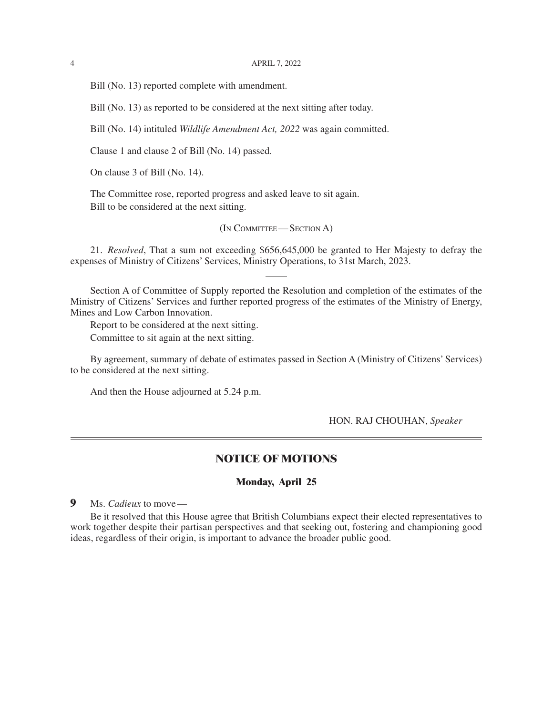Bill (No. 13) reported complete with amendment.

Bill (No. 13) as reported to be considered at the next sitting after today.

Bill (No. 14) intituled *Wildlife Amendment Act, 2022* was again committed.

Clause 1 and clause 2 of Bill (No. 14) passed.

On clause 3 of Bill (No. 14).

The Committee rose, reported progress and asked leave to sit again. Bill to be considered at the next sitting.

(In Committee— Section A)

21. *Resolved*, That a sum not exceeding \$656,645,000 be granted to Her Majesty to defray the expenses of Ministry of Citizens' Services, Ministry Operations, to 31st March, 2023.

Section A of Committee of Supply reported the Resolution and completion of the estimates of the Ministry of Citizens' Services and further reported progress of the estimates of the Ministry of Energy, Mines and Low Carbon Innovation.

Report to be considered at the next sitting. Committee to sit again at the next sitting.

By agreement, summary of debate of estimates passed in Section A (Ministry of Citizens' Services) to be considered at the next sitting.

And then the House adjourned at 5.24 p.m.

HON. RAJ CHOUHAN, *Speaker*

# **NOTICE OF MOTIONS**

### **Monday, April 25**

**9** Ms. *Cadieux* to move—

Be it resolved that this House agree that British Columbians expect their elected representatives to work together despite their partisan perspectives and that seeking out, fostering and championing good ideas, regardless of their origin, is important to advance the broader public good.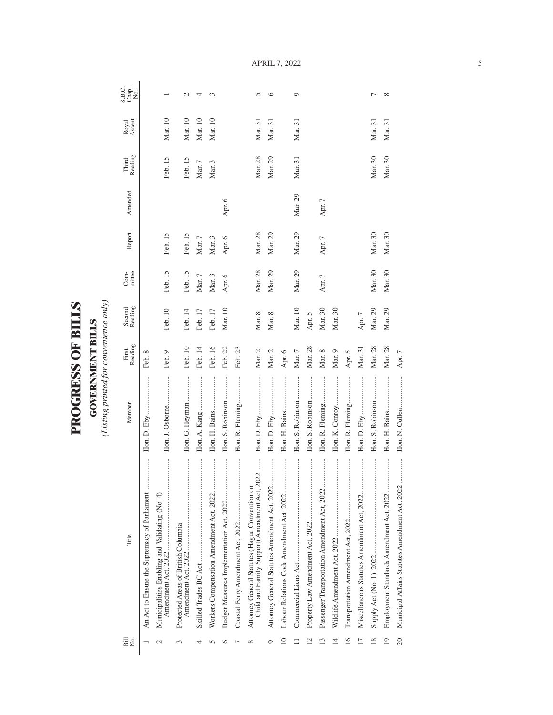| <b>PILLES</b><br>F<br>JOF<br>UESS<br>Ē<br>$\blacksquare$ | <b>VERNMENT BILLS</b><br>Ś |
|----------------------------------------------------------|----------------------------|
| Ê                                                        |                            |

(Listing printed for convenience only) *(Listing printed for convenience only)*

| Bill<br>Σó,     | Title                                                                                           | Member           | Reading<br>First | Second<br>Reading | mittee<br>Com- | Report   | Amended | Third<br>Reading | Royal<br>Assent | S.B.C.<br>Chap.<br>No. |
|-----------------|-------------------------------------------------------------------------------------------------|------------------|------------------|-------------------|----------------|----------|---------|------------------|-----------------|------------------------|
|                 | An Act to Ensure the Supremacy of Parliament                                                    |                  | Feb. 8           |                   |                |          |         |                  |                 |                        |
| $\mathcal{C}$   | <br>Municipalities Enabling and Validating (No. 4)                                              | Hon. J. Osborne  | Feb. 9           | Feb. 10           | Feb. 15        | Feb. 15  |         | Feb. 15          | Mar. 10         |                        |
| 3               | Protected Areas of British Columbia                                                             | Hon. G. Heyman   | Feb. 10          | Feb. 14           | Feb. 15        | Feb. 15  |         | Feb. 15          | Mar. 10         | $\mathcal{L}$          |
| 4               |                                                                                                 |                  | Feb. 14          | Feb. 17           | Mar. 7         | Mar. 7   |         | Mar. 7           | Mar. 10         | 4                      |
|                 |                                                                                                 |                  | Feb. 16          | Feb. 17           | Mar. 3         | Mar. 3   |         | Mar. 3           | Mar. 10         | $\sim$                 |
| ⊂               |                                                                                                 | Hon. S. Robinson | Feb. 22          | Mar. 10           | Apr. 6         | Apr. 6   | Apr. 6  |                  |                 |                        |
|                 |                                                                                                 | Hon. R. Fleming  | Feb. 23          |                   |                |          |         |                  |                 |                        |
| $\infty$        | Child and Family Support) Amendment Act, 2022<br>Attorney General Statutes (Hague Convention on |                  | Mar. 2           | Mar. 8            | Mar. 28        | Mar. 28  |         | Mar. 28          | Mar. 31         | $\Omega$               |
| O               | Attorney General Statutes Amendment Act, 2022                                                   |                  | Mar. 2           | Mar. 8            | Mar. 29        | Mar. 29  |         | Mar. 29          | Mar. 31         | $\circ$                |
| $\approx$       |                                                                                                 | Hon. H. Bains    | Apr. 6           |                   |                |          |         |                  |                 |                        |
|                 |                                                                                                 | Hon. S. Robinson | Mar. 7           | Mar. 10           | Mar. 29        | Mar. 29  | Mar. 29 | Mar. 31          | Mar. 31         | $\circ$                |
| $\overline{12}$ |                                                                                                 | Hon. S. Robinson | Mar. 28          | Apr. 5            |                |          |         |                  |                 |                        |
| S               |                                                                                                 | Hon. R. Fleming  | Mar. 8           | Mar. 30           | Apr. 7         | Apr. $7$ | Apr. 7  |                  |                 |                        |
| $\overline{1}$  |                                                                                                 | Hon. K. Conroy   | Mar. 9           | Mar. 30           |                |          |         |                  |                 |                        |
| $\overline{16}$ |                                                                                                 | Hon. R. Fleming  | Apr. 5           |                   |                |          |         |                  |                 |                        |
|                 |                                                                                                 |                  | Mar. 31          | Apr. 7            |                |          |         |                  |                 |                        |
| 18              |                                                                                                 | Hon. S. Robinson | Mar. 28          | Mar. 29           | Mar. 30        | Mar. 30  |         | Mar. 30          | Mar. 31         | ∼                      |
| $\overline{19}$ |                                                                                                 |                  | Mar. 28          | Mar. 29           | Mar. 30        | Mar. 30  |         | Mar. 30          | Mar. 31         | $\infty$               |
| $\overline{c}$  | <br>Municipal Affairs Statutes Amendment Act, 2022.                                             |                  | Apr. 7           |                   |                |          |         |                  |                 |                        |

April 7, 2022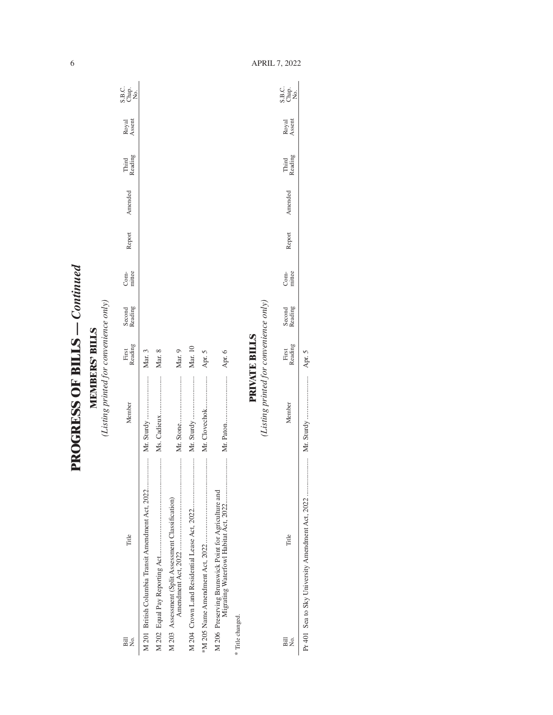| ֧֧֧֢֧֧֧֚֚֚֚֚֚֚֚֚֚֚֚֚֚֚֚֚֚֚֚֚֚֚֚֚֚֚֚֚֓֡֓֡֓֓֟֓֡֓֓ |
|-------------------------------------------------|
|                                                 |
|                                                 |
|                                                 |
|                                                 |
| <b>CHEELES COLLES</b>                           |
|                                                 |
|                                                 |
|                                                 |
| $\dot{\bm{\zeta}}$                              |
|                                                 |

**MEMBERS' BILLS**<br>(Listing printed for convenience only) *(Listing printed for convenience only)***MEMBERS' BILLS**

| Title<br>Bill<br>Σó.                                 | Member                                 | First<br>Reading | Second<br>Reading | mittee<br>$Com-$ | Report | Amended | Reading<br>Third | Royal<br>Assent | C.<br>S.B.<br>S.B.<br>Z |
|------------------------------------------------------|----------------------------------------|------------------|-------------------|------------------|--------|---------|------------------|-----------------|-------------------------|
| M 201 British Columbia Transit Amendment Act, 2022   |                                        | Mar. 3           |                   |                  |        |         |                  |                 |                         |
|                                                      |                                        | Mar. 8           |                   |                  |        |         |                  |                 |                         |
| M 203 Assessment (Split Assessment Classification)   |                                        | Mar. 9           |                   |                  |        |         |                  |                 |                         |
|                                                      |                                        | Mar. 10          |                   |                  |        |         |                  |                 |                         |
|                                                      | Mr. Clovechok                          | Apr. 5           |                   |                  |        |         |                  |                 |                         |
| M 206 Preserving Brunswick Point for Agriculture and |                                        | Apr. 6           |                   |                  |        |         |                  |                 |                         |
| * Title changed.                                     |                                        |                  |                   |                  |        |         |                  |                 |                         |
|                                                      | (Listing printed for convenience only) | PRIVATE BILLS    |                   |                  |        |         |                  |                 |                         |
|                                                      |                                        | First            | Second            | Com              |        |         | Third            | <b>Rowal</b>    | S.B.C.                  |

| ş<br>Pil | Title | embe | 3uppe-<br>First | teading<br>econd | Com-<br>mittee | cport | mendea | <b>Reading</b><br>Third | Royal<br>Assent | u a<br>Baa<br>Su |
|----------|-------|------|-----------------|------------------|----------------|-------|--------|-------------------------|-----------------|------------------|
|          |       |      |                 |                  |                |       |        |                         |                 |                  |

6